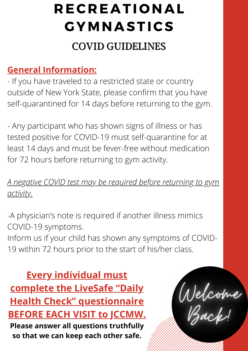## COVID GUIDELINES

### **General Information:**

- If you have traveled to a restricted state or country outside of New York State, please confirm that you have self-quarantined for 14 days before returning to the gym.

- Any participant who has shown signs of illness or has tested positive for COVID-19 must self-quarantine for at least 14 days and must be fever-free without medication for 72 hours before returning to gym activity.

*A negative COVID test may be required before returning to gym activity.*

-A physician's note is required if another illness mimics COVID-19 symptoms.

Inform us if your child has shown any symptoms of COVID-19 within 72 hours prior to the start of his/her class.

**Every individual must complete the LiveSafe "Daily Health Check" questionnaire BEFORE EACH VISIT to JCCMW. Please answer all questions truthfully so that we can keep each other safe.**

Welcome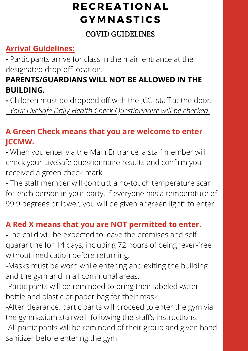#### COVID GUIDELINES

### **Arrival Guidelines:**

**-** Participants arrive for class in the main entrance at the designated drop-off location.

### **PARENTS/GUARDIANS WILL NOT BE ALLOWED IN THE BUILDING.**

**-** Children must be dropped off with the JCC staff at the door. - *Your LiveSafe Daily Health Check Questionnaire will be checked.*

### **A Green Check means that you are welcome to enter JCCMW.**

**-** When you enter via the Main Entrance, a staff member will check your LiveSafe questionnaire results and confirm you received a green check-mark.

- The staff member will conduct a no-touch temperature scan for each person in your party. If everyone has a temperature of 99.9 degrees or lower, you will be given a "green light" to enter.

### **A Red X means that you are NOT permitted to enter.**

**-**The child will be expected to leave the premises and selfquarantine for 14 days, including 72 hours of being fever-free without medication before returning.

-Masks must be worn while entering and exiting the building and the gym and in all communal areas.

-Participants will be reminded to bring their labeled water bottle and plastic or paper bag for their mask.

-After clearance, participants will proceed to enter the gym via the gymnasium stairwell following the staff's instructions.

-All participants will be reminded of their group and given hand sanitizer before entering the gym.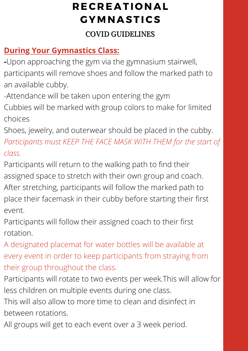### COVID GUIDELINES

### **During Your Gymnastics Class:**

- **-**Upon approaching the gym via the gymnasium stairwell, participants will remove shoes and follow the marked path to an available cubby.
- -Attendance will be taken upon entering the gym
- Cubbies will be marked with group colors to make for limited choices
- Shoes, jewelry, and outerwear should be placed in the cubby. *Participants must KEEP THE FACE MASK WITH THEM for the start of class.*
- Participants will return to the walking path to find their assigned space to stretch with their own group and coach. After stretching, participants will follow the marked path to place their facemask in their cubby before starting their first event.
- Participants will follow their assigned coach to their first rotation.
- A designated placemat for water bottles will be available at every event in order to keep participants from straying from their group throughout the class.
- Participants will rotate to two events per week.This will allow for less children on multiple events during one class.
- This will also allow to more time to clean and disinfect in between rotations.
- All groups will get to each event over a 3 week period.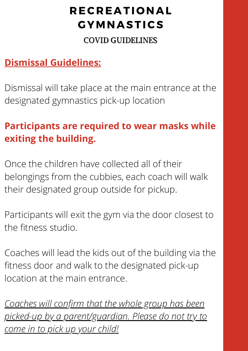#### COVID GUIDELINES

### **Dismissal Guidelines:**

Dismissal will take place at the main entrance at the designated gymnastics pick-up location

# **Participants are required to wear masks while exiting the building.**

Once the children have collected all of their belongings from the cubbies, each coach will walk their designated group outside for pickup.

Participants will exit the gym via the door closest to the fitness studio.

Coaches will lead the kids out of the building via the fitness door and walk to the designated pick-up location at the main entrance.

*Coaches will confirm that the whole group has been picked-up by a parent/guardian. Please do not try to come in to pick up your child!*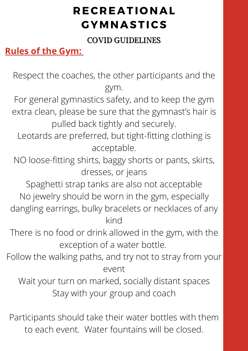COVID GUIDELINES

**Rules of the Gym:**

Respect the coaches, the other participants and the gym.

For general gymnastics safety, and to keep the gym extra clean, please be sure that the gymnast's hair is pulled back tightly and securely.

Leotards are preferred, but tight-fitting clothing is acceptable.

NO loose-fitting shirts, baggy shorts or pants, skirts, dresses, or jeans

Spaghetti strap tanks are also not acceptable No jewelry should be worn in the gym, especially dangling earrings, bulky bracelets or necklaces of any kind

There is no food or drink allowed in the gym, with the exception of a water bottle.

Follow the walking paths, and try not to stray from your event

Wait your turn on marked, socially distant spaces Stay with your group and coach

Participants should take their water bottles with them to each event. Water fountains will be closed.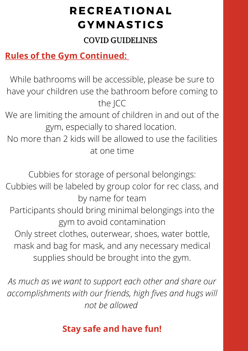#### COVID GUIDELINES

### **Rules of the Gym Continued:**

While bathrooms will be accessible, please be sure to have your children use the bathroom before coming to the JCC

We are limiting the amount of children in and out of the gym, especially to shared location.

No more than 2 kids will be allowed to use the facilities at one time

Cubbies for storage of personal belongings:

Cubbies will be labeled by group color for rec class, and by name for team

Participants should bring minimal belongings into the gym to avoid contamination

Only street clothes, outerwear, shoes, water bottle, mask and bag for mask, and any necessary medical supplies should be brought into the gym.

*As much as we want to support each other and share our accomplishments with our friends, high fives and hugs will not be allowed*

### **Stay safe and have fun!**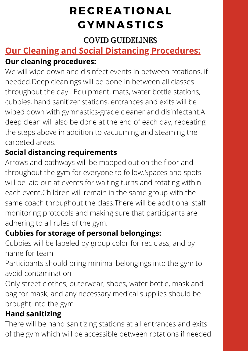### COVID GUIDELINES

### **Our Cleaning and Social Distancing Procedures: Our cleaning procedures:**

We will wipe down and disinfect events in between rotations, if needed.Deep cleanings will be done in between all classes throughout the day. Equipment, mats, water bottle stations, cubbies, hand sanitizer stations, entrances and exits will be wiped down with gymnastics-grade cleaner and disinfectant.A deep clean will also be done at the end of each day, repeating the steps above in addition to vacuuming and steaming the carpeted areas.

### **Social distancing requirements**

Arrows and pathways will be mapped out on the floor and throughout the gym for everyone to follow.Spaces and spots will be laid out at events for waiting turns and rotating within each event.Children will remain in the same group with the same coach throughout the class.There will be additional staff monitoring protocols and making sure that participants are adhering to all rules of the gym.

### **Cubbies for storage of personal belongings:**

Cubbies will be labeled by group color for rec class, and by name for team

Participants should bring minimal belongings into the gym to avoid contamination

Only street clothes, outerwear, shoes, water bottle, mask and bag for mask, and any necessary medical supplies should be brought into the gym

### **Hand sanitizing**

There will be hand sanitizing stations at all entrances and exits of the gym which will be accessible between rotations if needed